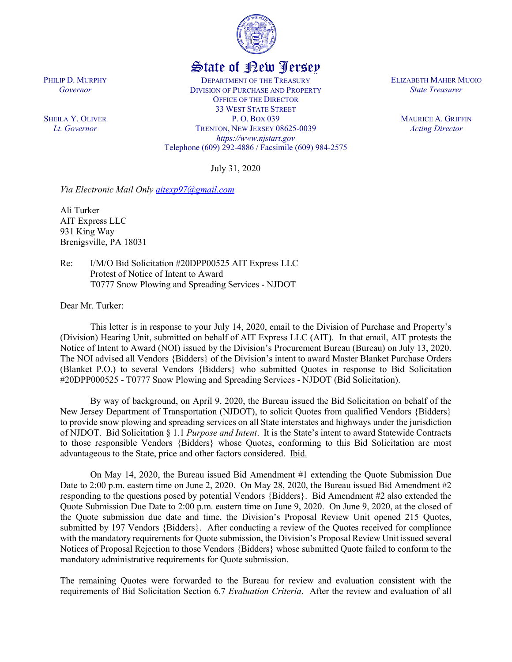

## State of New Jersey

DEPARTMENT OF THE TREASURY DIVISION OF PURCHASE AND PROPERTY OFFICE OF THE DIRECTOR 33 WEST STATE STREET P. O. BOX 039 TRENTON, NEW JERSEY 08625-0039 *https://www.njstart.gov* Telephone (609) 292-4886 / Facsimile (609) 984-2575

July 31, 2020

*Via Electronic Mail Only aitexp97@gmail.com*

Ali Turker AIT Express LLC 931 King Way Brenigsville, PA 18031

PHILIP D. MURPHY *Governor*

SHEILA Y. OLIVER *Lt. Governor*

> Re: I/M/O Bid Solicitation #20DPP00525 AIT Express LLC Protest of Notice of Intent to Award T0777 Snow Plowing and Spreading Services - NJDOT

Dear Mr. Turker:

This letter is in response to your July 14, 2020, email to the Division of Purchase and Property's (Division) Hearing Unit, submitted on behalf of AIT Express LLC (AIT). In that email, AIT protests the Notice of Intent to Award (NOI) issued by the Division's Procurement Bureau (Bureau) on July 13, 2020. The NOI advised all Vendors {Bidders} of the Division's intent to award Master Blanket Purchase Orders (Blanket P.O.) to several Vendors {Bidders} who submitted Quotes in response to Bid Solicitation #20DPP000525 - T0777 Snow Plowing and Spreading Services - NJDOT (Bid Solicitation).

By way of background, on April 9, 2020, the Bureau issued the Bid Solicitation on behalf of the New Jersey Department of Transportation (NJDOT), to solicit Quotes from qualified Vendors {Bidders} to provide snow plowing and spreading services on all State interstates and highways under the jurisdiction of NJDOT. Bid Solicitation § 1.1 *Purpose and Intent*. It is the State's intent to award Statewide Contracts to those responsible Vendors {Bidders} whose Quotes, conforming to this Bid Solicitation are most advantageous to the State, price and other factors considered. Ibid.

On May 14, 2020, the Bureau issued Bid Amendment #1 extending the Quote Submission Due Date to 2:00 p.m. eastern time on June 2, 2020. On May 28, 2020, the Bureau issued Bid Amendment #2 responding to the questions posed by potential Vendors {Bidders}. Bid Amendment #2 also extended the Quote Submission Due Date to 2:00 p.m. eastern time on June 9, 2020. On June 9, 2020, at the closed of the Quote submission due date and time, the Division's Proposal Review Unit opened 215 Quotes, submitted by 197 Vendors {Bidders}. After conducting a review of the Quotes received for compliance with the mandatory requirements for Quote submission, the Division's Proposal Review Unit issued several Notices of Proposal Rejection to those Vendors {Bidders} whose submitted Quote failed to conform to the mandatory administrative requirements for Quote submission.

The remaining Quotes were forwarded to the Bureau for review and evaluation consistent with the requirements of Bid Solicitation Section 6.7 *Evaluation Criteria*. After the review and evaluation of all

ELIZABETH MAHER MUOIO *State Treasurer*

> MAURICE A. GRIFFIN *Acting Director*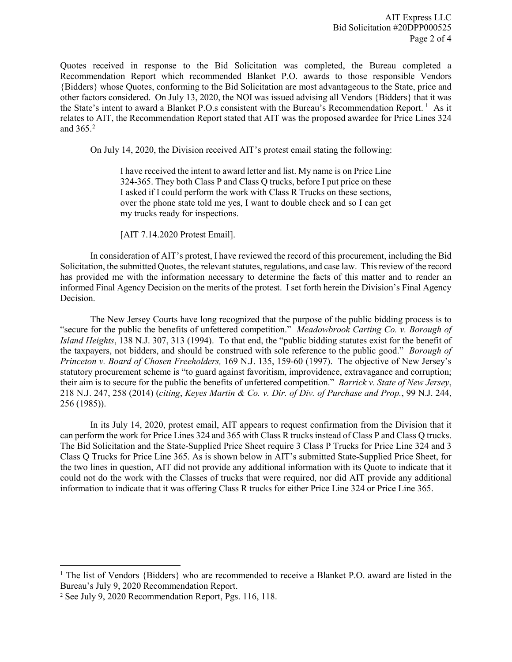Quotes received in response to the Bid Solicitation was completed, the Bureau completed a Recommendation Report which recommended Blanket P.O. awards to those responsible Vendors {Bidders} whose Quotes, conforming to the Bid Solicitation are most advantageous to the State, price and other factors considered. On July 13, 2020, the NOI was issued advising all Vendors {Bidders} that it was the State's intent to award a Blanket P.O.s consistent with the Bureau's Recommendation Report.<sup>[1](#page-1-0)</sup> As it relates to AIT, the Recommendation Report stated that AIT was the proposed awardee for Price Lines 324 and 365. [2](#page-1-1)

On July 14, 2020, the Division received AIT's protest email stating the following:

I have received the intent to award letter and list. My name is on Price Line 324-365. They both Class P and Class Q trucks, before I put price on these I asked if I could perform the work with Class R Trucks on these sections, over the phone state told me yes, I want to double check and so I can get my trucks ready for inspections.

[AIT 7.14.2020 Protest Email].

In consideration of AIT's protest, I have reviewed the record of this procurement, including the Bid Solicitation, the submitted Quotes, the relevant statutes, regulations, and case law. This review of the record has provided me with the information necessary to determine the facts of this matter and to render an informed Final Agency Decision on the merits of the protest. I set forth herein the Division's Final Agency Decision.

The New Jersey Courts have long recognized that the purpose of the public bidding process is to "secure for the public the benefits of unfettered competition." *Meadowbrook Carting Co. v. Borough of Island Heights*, 138 N.J. 307, 313 (1994). To that end, the "public bidding statutes exist for the benefit of the taxpayers, not bidders, and should be construed with sole reference to the public good." *Borough of Princeton v. Board of Chosen Freeholders,* 169 N.J. 135, 159-60 (1997). The objective of New Jersey's statutory procurement scheme is "to guard against favoritism, improvidence, extravagance and corruption; their aim is to secure for the public the benefits of unfettered competition." *Barrick v. State of New Jersey*, 218 N.J. 247, 258 (2014) (*citing*, *Keyes Martin & Co. v. Dir. of Div. of Purchase and Prop.*, 99 N.J. 244, 256 (1985)).

In its July 14, 2020, protest email, AIT appears to request confirmation from the Division that it can perform the work for Price Lines 324 and 365 with Class R trucks instead of Class P and Class Q trucks. The Bid Solicitation and the State-Supplied Price Sheet require 3 Class P Trucks for Price Line 324 and 3 Class Q Trucks for Price Line 365. As is shown below in AIT's submitted State-Supplied Price Sheet, for the two lines in question, AIT did not provide any additional information with its Quote to indicate that it could not do the work with the Classes of trucks that were required, nor did AIT provide any additional information to indicate that it was offering Class R trucks for either Price Line 324 or Price Line 365.

 $\overline{\phantom{a}}$ 

<span id="page-1-0"></span><sup>&</sup>lt;sup>1</sup> The list of Vendors {Bidders} who are recommended to receive a Blanket P.O. award are listed in the Bureau's July 9, 2020 Recommendation Report.

<span id="page-1-1"></span><sup>2</sup> See July 9, 2020 Recommendation Report, Pgs. 116, 118.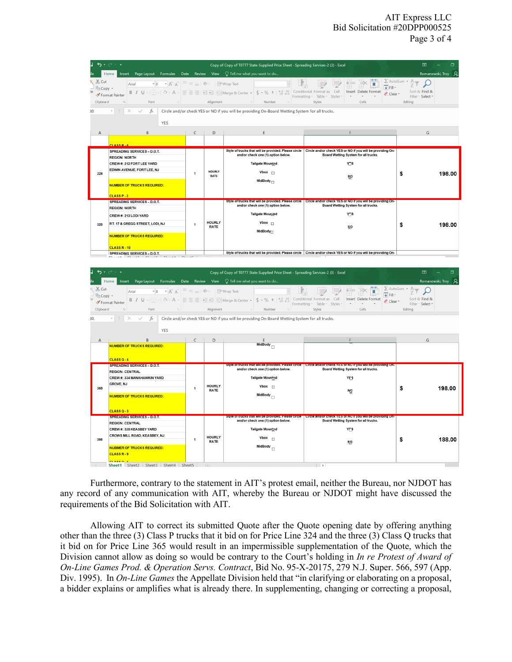## AIT Express LLC Bid Solicitation #20DPP000525 Page 3 of 4

|                                                                                                                                                                                                                                                                                                                                                                                                                                                                                                                                                                   | Insert Page Layout Formulas Data Review View $\bigcirc$ Tell me what you want to do<br>Home                                                                                                                                                                                                                                                                                                                |                      |                              | Copy of Copy of T0777 State-Supplied Price Sheet - Spreading Services-2 (3) - Excel                                                 |                                                                                                                                                           | 困<br>Romanowski, Troy Q                                                                              |
|-------------------------------------------------------------------------------------------------------------------------------------------------------------------------------------------------------------------------------------------------------------------------------------------------------------------------------------------------------------------------------------------------------------------------------------------------------------------------------------------------------------------------------------------------------------------|------------------------------------------------------------------------------------------------------------------------------------------------------------------------------------------------------------------------------------------------------------------------------------------------------------------------------------------------------------------------------------------------------------|----------------------|------------------------------|-------------------------------------------------------------------------------------------------------------------------------------|-----------------------------------------------------------------------------------------------------------------------------------------------------------|------------------------------------------------------------------------------------------------------|
| $\chi$ Cut<br>Clipboard                                                                                                                                                                                                                                                                                                                                                                                                                                                                                                                                           | $\mathbf{a} \cdot \mathbf{b}$ $\mathbf{a} \cdot \mathbf{c}$ $\mathbf{a} \cdot \mathbf{c}$ $\mathbf{a} \cdot \mathbf{c}$ $\mathbf{a} \cdot \mathbf{c}$ $\mathbf{a} \cdot \mathbf{c}$ $\mathbf{a} \cdot \mathbf{c}$ $\mathbf{a} \cdot \mathbf{c}$<br>ि Copy ≁<br>Format Painter<br>$\mathbb{E} \left[ \begin{array}{ccc} 0 & 0 & 0 \\ 0 & 0 & 0 \\ 0 & 0 & 0 \end{array} \right]$<br>$\overline{12}$<br>Font |                      | Alignment                    | $\sim 10^{11}$ m $\rm{Hz}$<br>Number                                                                                                | ш<br><b>↓</b> Fill +<br>Insert Delete Format<br>Clear -<br>Formatting ~ Table ~ Styles ~<br>$\sim$<br>Styles<br>Cells                                     | $\Sigma$ AutoSum $\cdot$ A <sub>T</sub><br>$\Omega$<br>Sort & Find &<br>Filter ~ Select ~<br>Editing |
|                                                                                                                                                                                                                                                                                                                                                                                                                                                                                                                                                                   | $-1$                                                                                                                                                                                                                                                                                                                                                                                                       |                      |                              | $\times$ $\checkmark$ fx $\parallel$ Circle and/or check YES or NO if you will be providing On-Board Wetting System for all trucks. |                                                                                                                                                           |                                                                                                      |
|                                                                                                                                                                                                                                                                                                                                                                                                                                                                                                                                                                   | <b>YES</b>                                                                                                                                                                                                                                                                                                                                                                                                 |                      |                              |                                                                                                                                     |                                                                                                                                                           |                                                                                                      |
| $\overline{A}$                                                                                                                                                                                                                                                                                                                                                                                                                                                                                                                                                    | B                                                                                                                                                                                                                                                                                                                                                                                                          | $\mathsf{C}$         | $\mathsf D$                  | F                                                                                                                                   |                                                                                                                                                           | G                                                                                                    |
|                                                                                                                                                                                                                                                                                                                                                                                                                                                                                                                                                                   | CLASS R - 6                                                                                                                                                                                                                                                                                                                                                                                                |                      |                              |                                                                                                                                     | Style of trucks that will be provided. Please circle   Circle and/or check YES or NO if you will be providing On-                                         |                                                                                                      |
|                                                                                                                                                                                                                                                                                                                                                                                                                                                                                                                                                                   | SPREADING SERVICES - D.O.T.<br><b>REGION: NORTH</b>                                                                                                                                                                                                                                                                                                                                                        |                      |                              | and/or check one (1) option below.                                                                                                  | Board Wetting System for all trucks.                                                                                                                      |                                                                                                      |
|                                                                                                                                                                                                                                                                                                                                                                                                                                                                                                                                                                   | CREW #: 212 FORT LEE YARD                                                                                                                                                                                                                                                                                                                                                                                  |                      |                              | Tailgate Mountad                                                                                                                    | YOS                                                                                                                                                       |                                                                                                      |
| 324                                                                                                                                                                                                                                                                                                                                                                                                                                                                                                                                                               | EDWIN AVENUE, FORT LEE, NJ                                                                                                                                                                                                                                                                                                                                                                                 | 1                    | <b>HOURLY</b><br>RATE        | Vbox $\Box$                                                                                                                         | ψp                                                                                                                                                        | \$<br>198.00                                                                                         |
|                                                                                                                                                                                                                                                                                                                                                                                                                                                                                                                                                                   | <b>NUMBER OF TRUCKS REQUIRED:</b>                                                                                                                                                                                                                                                                                                                                                                          |                      |                              | MidBody $_{\square}$                                                                                                                |                                                                                                                                                           |                                                                                                      |
|                                                                                                                                                                                                                                                                                                                                                                                                                                                                                                                                                                   | $CIA$ SSP-3                                                                                                                                                                                                                                                                                                                                                                                                |                      |                              |                                                                                                                                     | Style of trucks that will be provided. Please circle Circle and/or check YES or NO if you will be providing On-                                           |                                                                                                      |
|                                                                                                                                                                                                                                                                                                                                                                                                                                                                                                                                                                   | <b>SPREADING SERVICES - D.O.T.</b><br><b>REGION: NORTH</b>                                                                                                                                                                                                                                                                                                                                                 |                      |                              | and/or check one (1) option below.                                                                                                  | Board Wetting System for all trucks.                                                                                                                      |                                                                                                      |
|                                                                                                                                                                                                                                                                                                                                                                                                                                                                                                                                                                   | CREW #: 213 LODI YARD                                                                                                                                                                                                                                                                                                                                                                                      |                      |                              | Tailgate Mourced                                                                                                                    | Yns                                                                                                                                                       |                                                                                                      |
| 325                                                                                                                                                                                                                                                                                                                                                                                                                                                                                                                                                               | RT. 17 & GREGG STREET, LODI, NJ                                                                                                                                                                                                                                                                                                                                                                            | $\blacktriangleleft$ | <b>HOURLY</b><br>RATE        | Vbox $\Box$                                                                                                                         | <b>HD</b>                                                                                                                                                 | \$<br>198.00                                                                                         |
|                                                                                                                                                                                                                                                                                                                                                                                                                                                                                                                                                                   | <b>NUMBER OF TRUCKS REQUIRED:</b>                                                                                                                                                                                                                                                                                                                                                                          |                      |                              | <b>MidBody</b>                                                                                                                      |                                                                                                                                                           |                                                                                                      |
|                                                                                                                                                                                                                                                                                                                                                                                                                                                                                                                                                                   | CLASS R - 10                                                                                                                                                                                                                                                                                                                                                                                               |                      |                              |                                                                                                                                     |                                                                                                                                                           |                                                                                                      |
|                                                                                                                                                                                                                                                                                                                                                                                                                                                                                                                                                                   | SPREADING SERVICES - D.O.T.                                                                                                                                                                                                                                                                                                                                                                                |                      |                              |                                                                                                                                     | Style of trucks that will be provided. Please circle Circle and/or check YES or NO if you will be providing On-                                           |                                                                                                      |
|                                                                                                                                                                                                                                                                                                                                                                                                                                                                                                                                                                   |                                                                                                                                                                                                                                                                                                                                                                                                            |                      |                              |                                                                                                                                     |                                                                                                                                                           |                                                                                                      |
| ち・ボーキ<br>Copy of Copy of T0777 State-Supplied Price Sheet - Spreading Services-2 (3) - Excel<br>囨<br>Home Insert Page Layout Formulas Data Review View $\bigcirc$ Tell me what you want to do<br>Romanowski, Troy                                                                                                                                                                                                                                                                                                                                                 |                                                                                                                                                                                                                                                                                                                                                                                                            |                      |                              |                                                                                                                                     |                                                                                                                                                           |                                                                                                      |
| & Cut<br>$\Sigma$ AutoSum $\cdot$ $\frac{A}{Z}$<br>$\overline{\phantom{a}}$ $\overline{\phantom{a}}$ $\overline{\phantom{a}}$ $\overline{\phantom{a}}$ $\overline{\phantom{a}}$ $\overline{\phantom{a}}$ $\overline{\phantom{a}}$ $\overline{\phantom{a}}$ $\overline{\phantom{a}}$ $\overline{\phantom{a}}$ $\overline{\phantom{a}}$ $\overline{\phantom{a}}$ $\overline{\phantom{a}}$ $\overline{\phantom{a}}$ $\overline{\phantom{a}}$ $\overline{\phantom{a}}$ $\overline{\phantom{a}}$ $\overline{\phantom{a}}$ $\overline{\$<br>$\bm{\mathcal{L}}$<br>Arial |                                                                                                                                                                                                                                                                                                                                                                                                            |                      |                              |                                                                                                                                     |                                                                                                                                                           |                                                                                                      |
| $\overline{\downarrow}$ Fill $\overline{\downarrow}$<br><b>『he Copy ▼</b><br>Sort & Find &<br>Insert Delete Format<br>Clear *                                                                                                                                                                                                                                                                                                                                                                                                                                     |                                                                                                                                                                                                                                                                                                                                                                                                            |                      |                              |                                                                                                                                     |                                                                                                                                                           |                                                                                                      |
| Formatting * Table * Styles *<br><b>Contract Contract</b><br>$\sim$ 150 $^{\circ}$<br>Clipboard<br>$E_{\rm{H}}$<br>Font<br>Alignment<br>Number<br>Editing<br>Styles<br>Cells                                                                                                                                                                                                                                                                                                                                                                                      |                                                                                                                                                                                                                                                                                                                                                                                                            |                      |                              |                                                                                                                                     | Filter - Select -                                                                                                                                         |                                                                                                      |
| $\times$ $\swarrow$ fx circle and/or check YES or NO if you will be providing On-Board Wetting System for all trucks.                                                                                                                                                                                                                                                                                                                                                                                                                                             |                                                                                                                                                                                                                                                                                                                                                                                                            |                      |                              |                                                                                                                                     |                                                                                                                                                           |                                                                                                      |
| <b>YES</b>                                                                                                                                                                                                                                                                                                                                                                                                                                                                                                                                                        |                                                                                                                                                                                                                                                                                                                                                                                                            |                      |                              |                                                                                                                                     |                                                                                                                                                           |                                                                                                      |
|                                                                                                                                                                                                                                                                                                                                                                                                                                                                                                                                                                   | B                                                                                                                                                                                                                                                                                                                                                                                                          | C                    | D                            | $rac{E}{MidBody}$                                                                                                                   |                                                                                                                                                           | G                                                                                                    |
|                                                                                                                                                                                                                                                                                                                                                                                                                                                                                                                                                                   | <b>NUMBER OF TRUCKS REQUIRED:</b>                                                                                                                                                                                                                                                                                                                                                                          |                      |                              |                                                                                                                                     |                                                                                                                                                           |                                                                                                      |
|                                                                                                                                                                                                                                                                                                                                                                                                                                                                                                                                                                   | $CLASSO-4$                                                                                                                                                                                                                                                                                                                                                                                                 |                      |                              |                                                                                                                                     |                                                                                                                                                           |                                                                                                      |
|                                                                                                                                                                                                                                                                                                                                                                                                                                                                                                                                                                   | <b>SPREADING SERVICES - D.O.T.</b><br><b>REGION: CENTRAL</b>                                                                                                                                                                                                                                                                                                                                               |                      |                              | and/or check one (1) option below.                                                                                                  | Style of trucks that will be provided. Please circle   Circle and/or check YES or NO if you will be providing On-<br>Board Wetting System for all trucks. |                                                                                                      |
| 365                                                                                                                                                                                                                                                                                                                                                                                                                                                                                                                                                               | <b>CREW #: 334 MANAHAWKIN YARD</b>                                                                                                                                                                                                                                                                                                                                                                         |                      |                              | Tailgate Mountad                                                                                                                    | <b>YFS</b>                                                                                                                                                |                                                                                                      |
|                                                                                                                                                                                                                                                                                                                                                                                                                                                                                                                                                                   | <b>GROVE, NJ</b>                                                                                                                                                                                                                                                                                                                                                                                           | $\overline{1}$       | <b>HOURLY</b><br><b>RATE</b> | Vbox                                                                                                                                |                                                                                                                                                           | \$<br>198.00                                                                                         |
|                                                                                                                                                                                                                                                                                                                                                                                                                                                                                                                                                                   | <b>NUMBER OF TRUCKS REQUIRED:</b>                                                                                                                                                                                                                                                                                                                                                                          |                      |                              | MidBody $\Box$                                                                                                                      | Nθ                                                                                                                                                        |                                                                                                      |
|                                                                                                                                                                                                                                                                                                                                                                                                                                                                                                                                                                   | CLASS Q - 3                                                                                                                                                                                                                                                                                                                                                                                                |                      |                              |                                                                                                                                     |                                                                                                                                                           |                                                                                                      |
|                                                                                                                                                                                                                                                                                                                                                                                                                                                                                                                                                                   | <b>SPREADING SERVICES - D.O.T.</b>                                                                                                                                                                                                                                                                                                                                                                         |                      |                              | tyle of trucks that will be provided. Please circle                                                                                 | Circle and/or check TES or NOTFyou will be providing On                                                                                                   |                                                                                                      |
|                                                                                                                                                                                                                                                                                                                                                                                                                                                                                                                                                                   | <b>REGION: CENTRAL</b><br><b>CREW #: 335 KEASBEY YARD</b>                                                                                                                                                                                                                                                                                                                                                  |                      |                              | and/or check one (1) option below.<br>Tailgate Mountad                                                                              | Board Wetting System for all trucks.                                                                                                                      |                                                                                                      |
|                                                                                                                                                                                                                                                                                                                                                                                                                                                                                                                                                                   | CROWS MILL ROAD, KEASBEY, NJ                                                                                                                                                                                                                                                                                                                                                                               |                      | <b>HOURLY</b>                | $Vbox$ <sub><math>\Box</math></sub>                                                                                                 | YES                                                                                                                                                       |                                                                                                      |
| 366                                                                                                                                                                                                                                                                                                                                                                                                                                                                                                                                                               | <b>NUBMER OF TRUCKS REQUIRED:</b>                                                                                                                                                                                                                                                                                                                                                                          | $\overline{1}$       | <b>RATE</b>                  | MidBody                                                                                                                             | <b>ND</b>                                                                                                                                                 | 188.00<br>\$                                                                                         |
|                                                                                                                                                                                                                                                                                                                                                                                                                                                                                                                                                                   |                                                                                                                                                                                                                                                                                                                                                                                                            |                      |                              |                                                                                                                                     |                                                                                                                                                           |                                                                                                      |
|                                                                                                                                                                                                                                                                                                                                                                                                                                                                                                                                                                   | CLASS <sub>R-9</sub>                                                                                                                                                                                                                                                                                                                                                                                       |                      |                              |                                                                                                                                     |                                                                                                                                                           |                                                                                                      |

Furthermore, contrary to the statement in AIT's protest email, neither the Bureau, nor NJDOT has any record of any communication with AIT, whereby the Bureau or NJDOT might have discussed the requirements of the Bid Solicitation with AIT.

Allowing AIT to correct its submitted Quote after the Quote opening date by offering anything other than the three (3) Class P trucks that it bid on for Price Line 324 and the three (3) Class Q trucks that it bid on for Price Line 365 would result in an impermissible supplementation of the Quote, which the Division cannot allow as doing so would be contrary to the Court's holding in *In re Protest of Award of On-Line Games Prod. & Operation Servs. Contract*, Bid No. 95-X-20175, 279 N.J. Super. 566, 597 (App. Div. 1995). In *On-Line Games* the Appellate Division held that "in clarifying or elaborating on a proposal, a bidder explains or amplifies what is already there. In supplementing, changing or correcting a proposal,